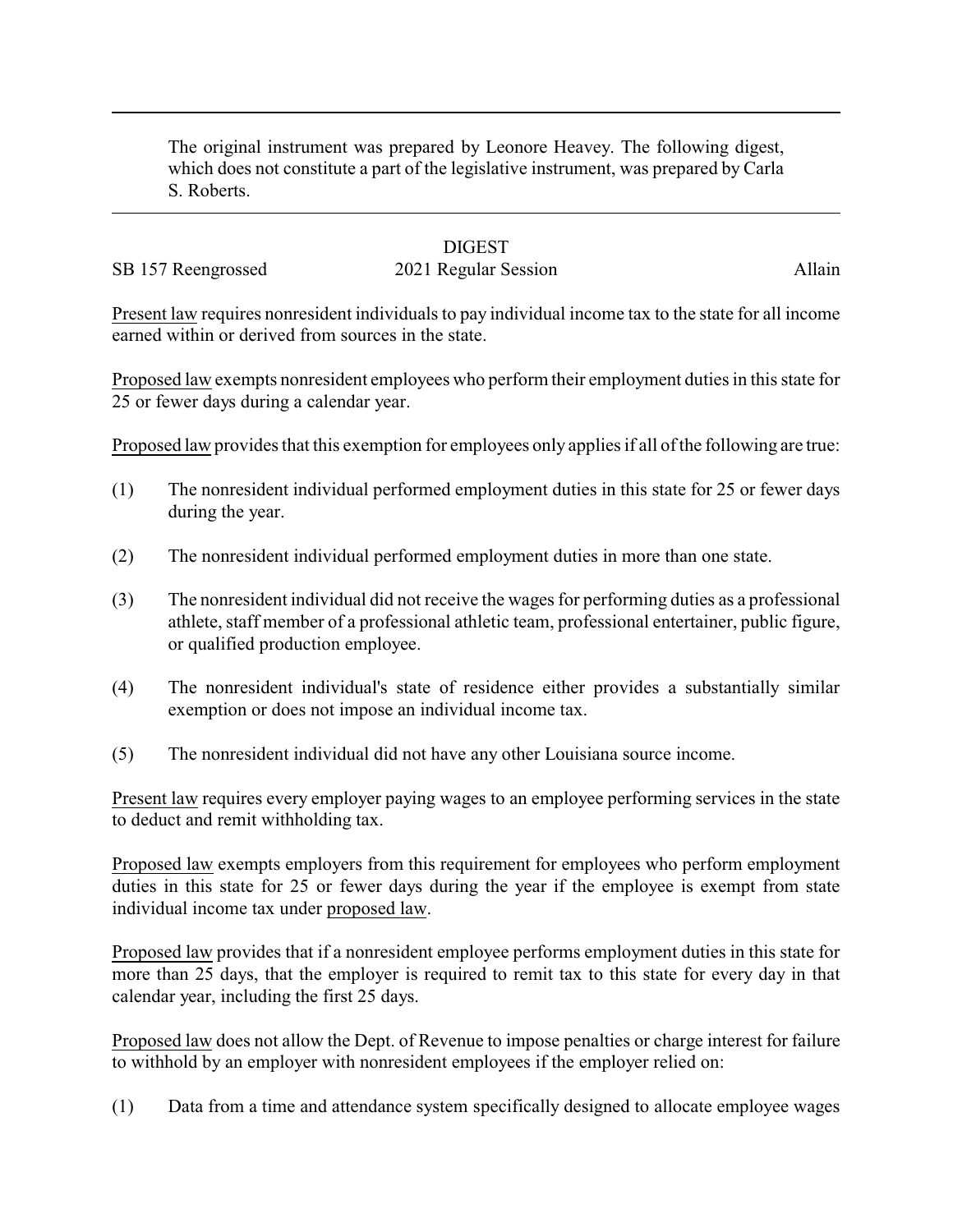The original instrument was prepared by Leonore Heavey. The following digest, which does not constitute a part of the legislative instrument, was prepared by Carla S. Roberts.

## **DIGEST**

## SB 157 Reengrossed 2021 Regular Session Allain

Present law requires nonresident individuals to pay individual income tax to the state for all income earned within or derived from sources in the state.

Proposed law exempts nonresident employees who perform their employment duties in this state for 25 or fewer days during a calendar year.

Proposed law provides that this exemption for employees only applies if all of the following are true:

- (1) The nonresident individual performed employment duties in this state for 25 or fewer days during the year.
- (2) The nonresident individual performed employment duties in more than one state.
- (3) The nonresident individual did not receive the wages for performing duties as a professional athlete, staff member of a professional athletic team, professional entertainer, public figure, or qualified production employee.
- (4) The nonresident individual's state of residence either provides a substantially similar exemption or does not impose an individual income tax.
- (5) The nonresident individual did not have any other Louisiana source income.

Present law requires every employer paying wages to an employee performing services in the state to deduct and remit withholding tax.

Proposed law exempts employers from this requirement for employees who perform employment duties in this state for 25 or fewer days during the year if the employee is exempt from state individual income tax under proposed law.

Proposed law provides that if a nonresident employee performs employment duties in this state for more than 25 days, that the employer is required to remit tax to this state for every day in that calendar year, including the first 25 days.

Proposed law does not allow the Dept. of Revenue to impose penalties or charge interest for failure to withhold by an employer with nonresident employees if the employer relied on:

(1) Data from a time and attendance system specifically designed to allocate employee wages